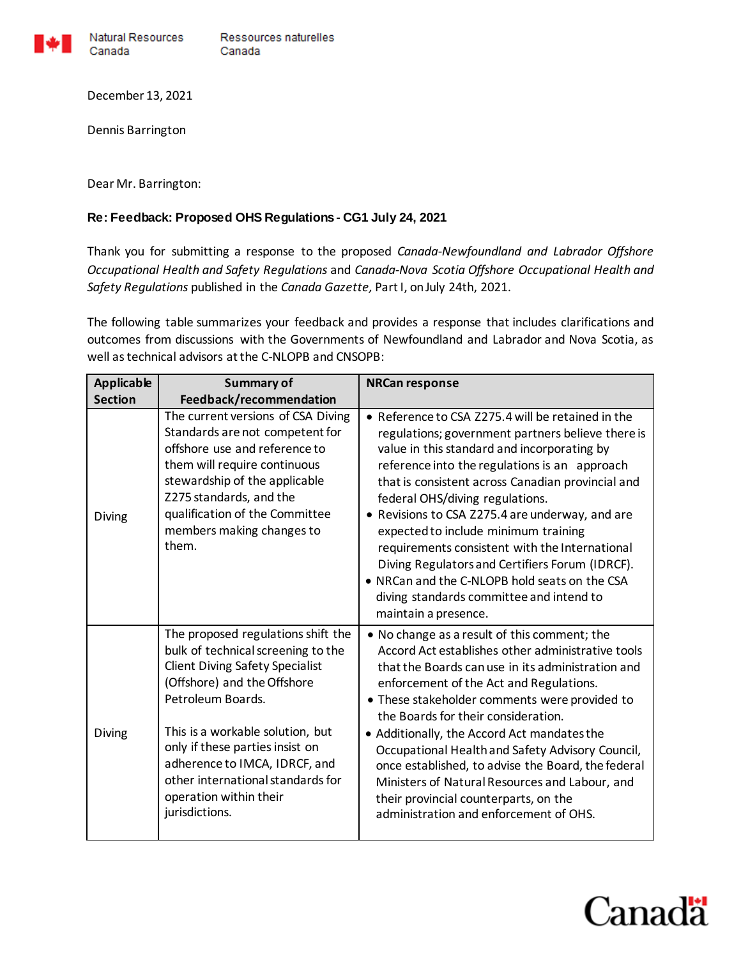

Natural Resources Canada Canada

December 13, 2021

Dennis Barrington

Dear Mr. Barrington:

## **Re: Feedback: Proposed OHS Regulations - CG1 July 24, 2021**

Thank you for submitting a response to the proposed *Canada-Newfoundland and Labrador Offshore Occupational Health and Safety Regulations* and *Canada-Nova Scotia Offshore Occupational Health and Safety Regulations* published in the *Canada Gazette,* Part I, on July 24th, 2021.

The following table summarizes your feedback and provides a response that includes clarifications and outcomes from discussions with the Governments of Newfoundland and Labrador and Nova Scotia, as well as technical advisors at the C-NLOPB and CNSOPB:

| <b>Applicable</b> | <b>Summary of</b>                                                                                                                                                                                                                                                                                                                                               | <b>NRCan response</b>                                                                                                                                                                                                                                                                                                                                                                                                                                                                                                                                                                                               |
|-------------------|-----------------------------------------------------------------------------------------------------------------------------------------------------------------------------------------------------------------------------------------------------------------------------------------------------------------------------------------------------------------|---------------------------------------------------------------------------------------------------------------------------------------------------------------------------------------------------------------------------------------------------------------------------------------------------------------------------------------------------------------------------------------------------------------------------------------------------------------------------------------------------------------------------------------------------------------------------------------------------------------------|
| <b>Section</b>    | Feedback/recommendation                                                                                                                                                                                                                                                                                                                                         |                                                                                                                                                                                                                                                                                                                                                                                                                                                                                                                                                                                                                     |
| <b>Diving</b>     | The current versions of CSA Diving<br>Standards are not competent for<br>offshore use and reference to<br>them will require continuous<br>stewardship of the applicable<br>Z275 standards, and the<br>qualification of the Committee<br>members making changes to<br>them.                                                                                      | • Reference to CSA Z275.4 will be retained in the<br>regulations; government partners believe there is<br>value in this standard and incorporating by<br>reference into the regulations is an approach<br>that is consistent across Canadian provincial and<br>federal OHS/diving regulations.<br>• Revisions to CSA Z275.4 are underway, and are<br>expected to include minimum training<br>requirements consistent with the International<br>Diving Regulators and Certifiers Forum (IDRCF).<br>• NRCan and the C-NLOPB hold seats on the CSA<br>diving standards committee and intend to<br>maintain a presence. |
| <b>Diving</b>     | The proposed regulations shift the<br>bulk of technical screening to the<br><b>Client Diving Safety Specialist</b><br>(Offshore) and the Offshore<br>Petroleum Boards.<br>This is a workable solution, but<br>only if these parties insist on<br>adherence to IMCA, IDRCF, and<br>other international standards for<br>operation within their<br>jurisdictions. | • No change as a result of this comment; the<br>Accord Act establishes other administrative tools<br>that the Boards can use in its administration and<br>enforcement of the Act and Regulations.<br>• These stakeholder comments were provided to<br>the Boards for their consideration.<br>• Additionally, the Accord Act mandates the<br>Occupational Health and Safety Advisory Council,<br>once established, to advise the Board, the federal<br>Ministers of Natural Resources and Labour, and<br>their provincial counterparts, on the<br>administration and enforcement of OHS.                             |